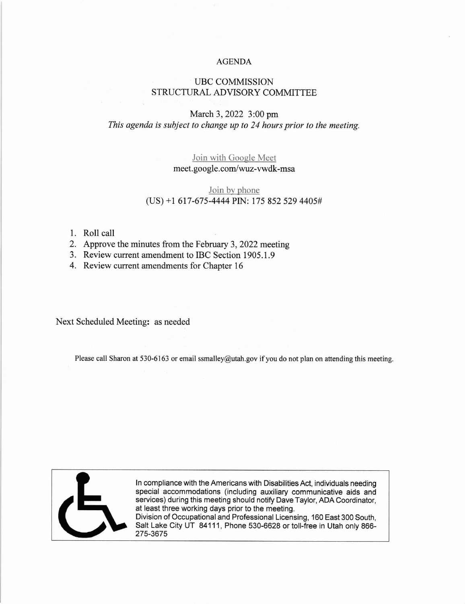#### AGENDA

# UBC COMMISSION STRUCTURAL ADVISORY COMMITTEE

# March 3, 2022 3:00 pm This agenda is subject to change up to 24 hours prior to the meeting.

### Join with Gooele Meet meet. google.com/wuz-vwdk-msa

### Join bv phone  $(US) + 1617-675-4444$  PIN: 175 852 529 4405#

#### 1. Roll call

- 2. Approve the minutes from the February 3, 2022 meeting
- 3. Review current amendment to IBC Section 1905.1.9

4. Review current amendments for Chapter <sup>16</sup>

Next Scheduled Meeting: as needed

Please call Sharon at 530-6163 or email ssmalley@utah.gov if you do not plan on attending this meeting.



ln compliance with the Americans with Disabilities Act, individuals needing special accommodations (including auxiliary communicative aids and services) during this meeting should notify Dave Taylor, ADA Coordinator, at least three working days prior to the meeting. Division of Occupational and Professional Licensing, 160 East 300 South,

Salt Lake City UT 84111, Phone 530-6628 or toll-free in Utah only 866-275-3675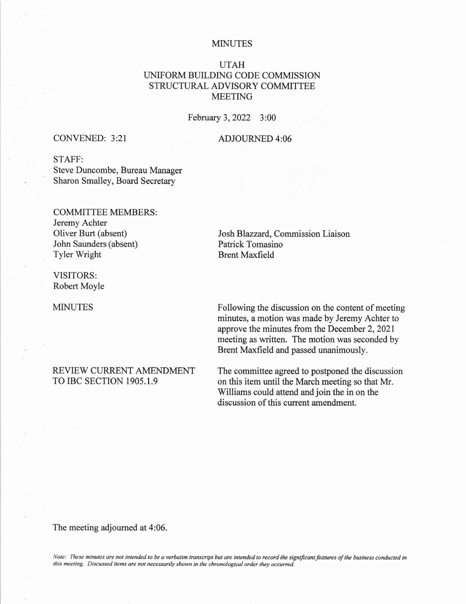#### MINUTES

## UTAH UNIFORM BUILDING CODE COMMISSION STRUCTURAL ADVISORY COMMITTEE MEETING

February 3,2022 3:00

#### CONVENED: 3:21

#### ADJOURNED 4:06

### STAFF:

Steve Duncombe, Bureau Manager Sharon Smalley, Board Secretary

# COMMITTEE MEMBERS: Jeremy Achter

Oliver Burt (absent) John Saunders (absent) Tyler Wright

VISITORS: Robert Moyle

MINUTES

#### REVIEW CURRENT AMENDMENT TO IBC SECTION 1905.I.9

Josh Blazzard, Commission Liaison Patrick Tomasino Brent Maxfield

Following the discussion on the content of meeting minutes, a motion was made by Jeremy Achter to approve the minutes from the December 2,2021 meeting as written. The motion was seconded by Brent Maxfield and passed unanimously.

The committee agreed to postponed the discussion on this item until the March meeting so that Mr. Williams could attend and join the in on the discussion of this current amendment.

The meeting adjoumed at 4:06.

Note: These minutes are not intended to be a verbatim transcript but are intended to record the significant features of the business conducted in this meeting. Discussed items are not necessarily shown in the chronological order they occurred.